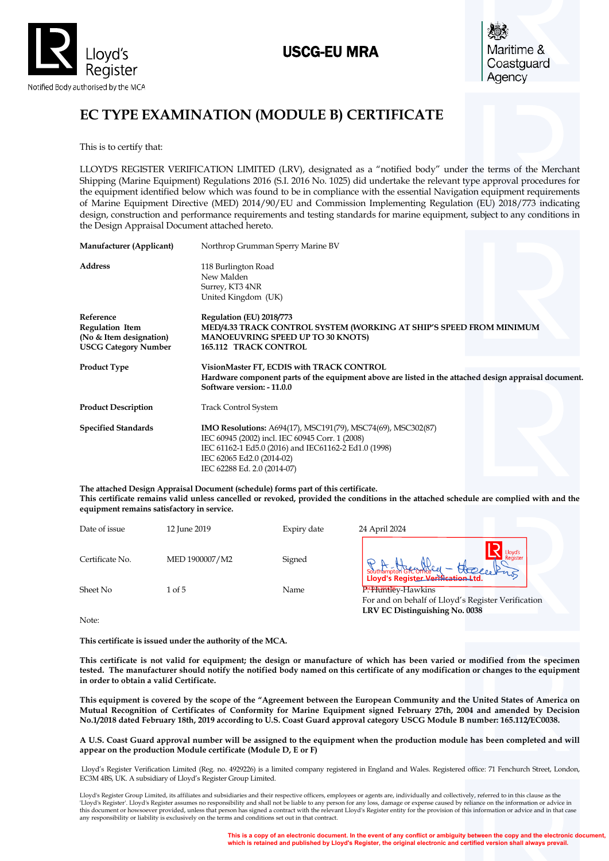

# USCG-EU MRA



# **EC TYPE EXAMINATION (MODULE B) CERTIFICATE**

This is to certify that:

LLOYD'S REGISTER VERIFICATION LIMITED (LRV), designated as a "notified body" under the terms of the Merchant Shipping (Marine Equipment) Regulations 2016 (S.I. 2016 No. 1025) did undertake the relevant type approval procedures for the equipment identified below which was found to be in compliance with the essential Navigation equipment requirements of Marine Equipment Directive (MED) 2014/90/EU and Commission Implementing Regulation (EU) 2018/773 indicating design, construction and performance requirements and testing standards for marine equipment, subject to any conditions in the Design Appraisal Document attached hereto.

| Manufacturer (Applicant)                                                                      | Northrop Grumman Sperry Marine BV                                                                                                                                                                                                          |
|-----------------------------------------------------------------------------------------------|--------------------------------------------------------------------------------------------------------------------------------------------------------------------------------------------------------------------------------------------|
| <b>Address</b>                                                                                | 118 Burlington Road<br>New Malden<br>Surrey, KT3 4NR<br>United Kingdom (UK)                                                                                                                                                                |
| Reference<br><b>Regulation Item</b><br>(No & Item designation)<br><b>USCG Category Number</b> | Regulation (EU) 2018/773<br>MED/4.33 TRACK CONTROL SYSTEM (WORKING AT SHIP'S SPEED FROM MINIMUM<br><b>MANOEUVRING SPEED UP TO 30 KNOTS)</b><br><b>165.112 TRACK CONTROL</b>                                                                |
| <b>Product Type</b>                                                                           | VisionMaster FT, ECDIS with TRACK CONTROL<br>Hardware component parts of the equipment above are listed in the attached design appraisal document.<br>Software version: -11.0.0                                                            |
| <b>Product Description</b>                                                                    | <b>Track Control System</b>                                                                                                                                                                                                                |
| <b>Specified Standards</b>                                                                    | <b>IMO Resolutions:</b> A694(17), MSC191(79), MSC74(69), MSC302(87)<br>IEC 60945 (2002) incl. IEC 60945 Corr. 1 (2008)<br>IEC 61162-1 Ed5.0 (2016) and IEC61162-2 Ed1.0 (1998)<br>IEC 62065 Ed2.0 (2014-02)<br>IEC 62288 Ed. 2.0 (2014-07) |

**The attached Design Appraisal Document (schedule) forms part of this certificate. This certificate remains valid unless cancelled or revoked, provided the conditions in the attached schedule are complied with and the equipment remains satisfactory in service.**

| Date of issue   | 12 June 2019   | Expiry date | 24 April 2024                                                             |
|-----------------|----------------|-------------|---------------------------------------------------------------------------|
| Certificate No. | MED 1900007/M2 | Signed      | Southampton GROMERY - Choque Princy                                       |
| Sheet No        | 1 of 5         | Name        | P. Prid Hey-Hawkins<br>For and on behalf of Lloyd's Register Verification |

Note:

**This certificate is issued under the authority of the MCA.** 

**This certificate is not valid for equipment; the design or manufacture of which has been varied or modified from the specimen tested. The manufacturer should notify the notified body named on this certificate of any modification or changes to the equipment in order to obtain a valid Certificate.**

**LRV EC Distinguishing No. 0038**

**This equipment is covered by the scope of the "Agreement between the European Community and the United States of America on Mutual Recognition of Certificates of Conformity for Marine Equipment signed February 27th, 2004 and amended by Decision No.1/2018 dated February 18th, 2019 according to U.S. Coast Guard approval category USCG Module B number: 165.112/EC0038.**

**A U.S. Coast Guard approval number will be assigned to the equipment when the production module has been completed and will appear on the production Module certificate (Module D, E or F)**

Lloyd's Register Verification Limited (Reg. no. 4929226) is a limited company registered in England and Wales. Registered office: 71 Fenchurch Street, London, EC3M 4BS, UK. A subsidiary of Lloyd's Register Group Limited.

Lloyd's Register Group Limited, its affiliates and subsidiaries and their respective officers, employees or agents are, individually and collectively, referred to in this clause as the<br>"Lloyd's Register'. Lloyd's Register this document or howsoever provided, unless that person has signed a contract with the relevant Lloyd's Register entity for the provision of this information or advice and in that case<br>any responsibility or liability is ex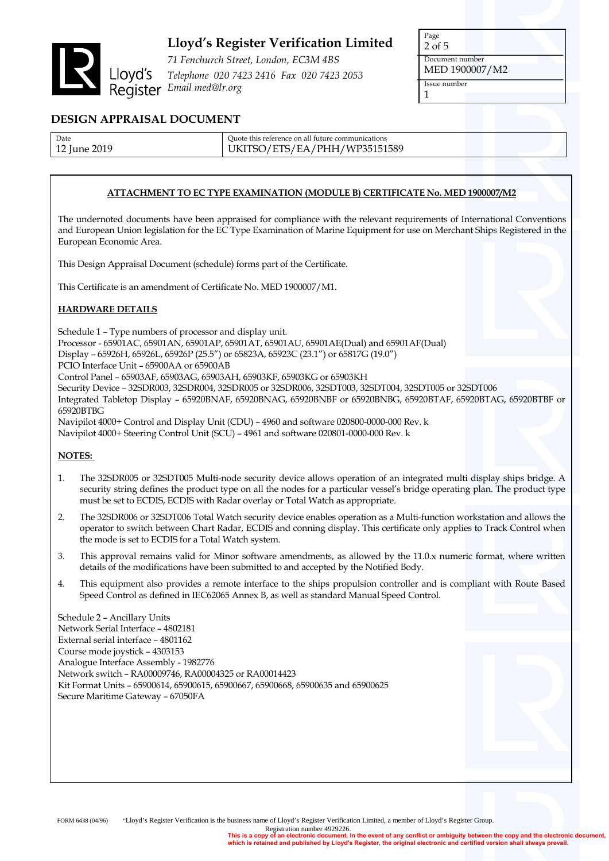

*71 Fenchurch Street, London, EC3M 4BS Telephone 020 7423 2416 Fax 020 7423 2053 Email med@lr.org*

| Page            |  |  |
|-----------------|--|--|
| $2$ of $5$      |  |  |
| Document number |  |  |
| MED 1900007/M2  |  |  |
| Issue number    |  |  |
|                 |  |  |

## **DESIGN APPRAISAL DOCUMENT**

| Date              | Ouote this reference on all future communications |
|-------------------|---------------------------------------------------|
| 12 Iune 2019<br>ᆠ | UKITSO/ETS/EA/PHH/WP35151589                      |

### **ATTACHMENT TO EC TYPE EXAMINATION (MODULE B) CERTIFICATE No. MED 1900007/M2**

The undernoted documents have been appraised for compliance with the relevant requirements of International Conventions and European Union legislation for the EC Type Examination of Marine Equipment for use on Merchant Ships Registered in the European Economic Area.

This Design Appraisal Document (schedule) forms part of the Certificate.

This Certificate is an amendment of Certificate No. MED 1900007/M1.

### **HARDWARE DETAILS**

Schedule 1 – Type numbers of processor and display unit. Processor - 65901AC, 65901AN, 65901AP, 65901AT, 65901AU, 65901AE(Dual) and 65901AF(Dual) Display – 65926H, 65926L, 65926P (25.5") or 65823A, 65923C (23.1") or 65817G (19.0") PCIO Interface Unit – 65900AA or 65900AB Control Panel – 65903AF, 65903AG, 65903AH, 65903KF, 65903KG or 65903KH Security Device – 32SDR003, 32SDR004, 32SDR005 or 32SDR006, 32SDT003, 32SDT004, 32SDT005 or 32SDT006 Integrated Tabletop Display – 65920BNAF, 65920BNAG, 65920BNBF or 65920BNBG, 65920BTAF, 65920BTAG, 65920BTBF or 65920BTBG Navipilot 4000+ Control and Display Unit (CDU) – 4960 and software 020800-0000-000 Rev. k Navipilot 4000+ Steering Control Unit (SCU) – 4961 and software 020801-0000-000 Rev. k

#### **NOTES:**

- 1. The 32SDR005 or 32SDT005 Multi-node security device allows operation of an integrated multi display ships bridge. A security string defines the product type on all the nodes for a particular vessel's bridge operating plan. The product type must be set to ECDIS, ECDIS with Radar overlay or Total Watch as appropriate.
- 2. The 32SDR006 or 32SDT006 Total Watch security device enables operation as a Multi-function workstation and allows the operator to switch between Chart Radar, ECDIS and conning display. This certificate only applies to Track Control when the mode is set to ECDIS for a Total Watch system.
- 3. This approval remains valid for Minor software amendments, as allowed by the 11.0.x numeric format, where written details of the modifications have been submitted to and accepted by the Notified Body.
- 4. This equipment also provides a remote interface to the ships propulsion controller and is compliant with Route Based Speed Control as defined in IEC62065 Annex B, as well as standard Manual Speed Control.

Schedule 2 – Ancillary Units Network Serial Interface – 4802181 External serial interface – 4801162 Course mode joystick – 4303153 Analogue Interface Assembly - 1982776 Network switch – RA00009746, RA00004325 or RA00014423 Kit Format Units – 65900614, 65900615, 65900667, 65900668, 65900635 and 65900625 Secure Maritime Gateway – 67050FA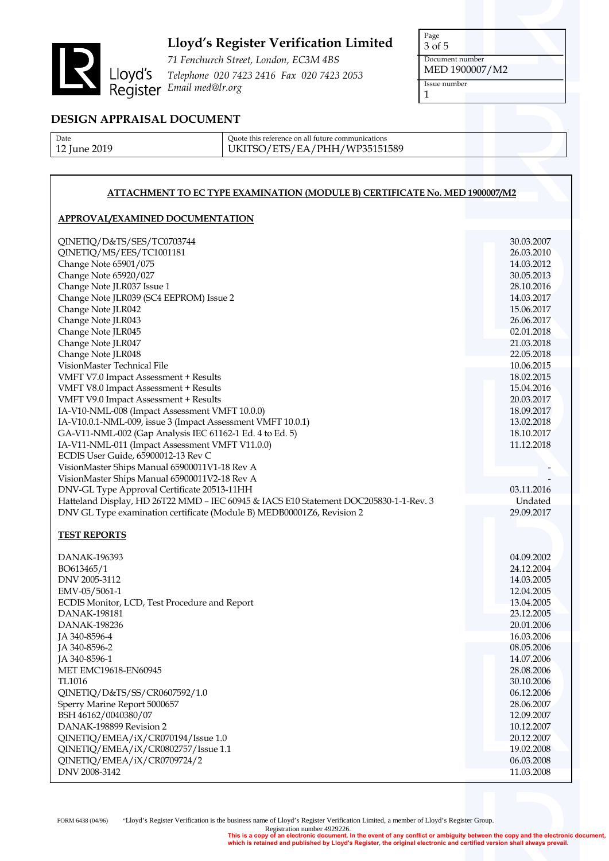

*71 Fenchurch Street, London, EC3M 4BS Telephone 020 7423 2416 Fax 020 7423 2053 Email med@lr.org*

Page 3 of 5 Document number MED 1900007/M2 Issue number 1

## **DESIGN APPRAISAL DOCUMENT**

| Date         |  |
|--------------|--|
| 12 June 2019 |  |

Quote this reference on all future communications UKITSO/ETS/EA/PHH/WP35151589

### **ATTACHMENT TO EC TYPE EXAMINATION (MODULE B) CERTIFICATE No. MED 1900007/M2**

#### **APPROVAL/EXAMINED DOCUMENTATION**

| QINETIQ/D&TS/SES/TC0703744                                                            | 30.03.2007               |
|---------------------------------------------------------------------------------------|--------------------------|
| QINETIQ/MS/EES/TC1001181                                                              | 26.03.2010               |
| Change Note 65901/075                                                                 | 14.03.2012               |
| Change Note 65920/027                                                                 | 30.05.2013               |
|                                                                                       |                          |
| Change Note JLR037 Issue 1                                                            | 28.10.2016               |
| Change Note JLR039 (SC4 EEPROM) Issue 2                                               | 14.03.2017               |
| Change Note JLR042                                                                    | 15.06.2017               |
| Change Note JLR043                                                                    | 26.06.2017               |
| Change Note JLR045                                                                    | 02.01.2018               |
| Change Note JLR047                                                                    | 21.03.2018               |
| Change Note JLR048                                                                    | 22.05.2018               |
| VisionMaster Technical File                                                           | 10.06.2015               |
|                                                                                       |                          |
| VMFT V7.0 Impact Assessment + Results                                                 | 18.02.2015               |
| VMFT V8.0 Impact Assessment + Results                                                 | 15.04.2016               |
| VMFT V9.0 Impact Assessment + Results                                                 | 20.03.2017               |
| IA-V10-NML-008 (Impact Assessment VMFT 10.0.0)                                        | 18.09.2017               |
| IA-V10.0.1-NML-009, issue 3 (Impact Assessment VMFT 10.0.1)                           | 13.02.2018               |
| GA-V11-NML-002 (Gap Analysis IEC 61162-1 Ed. 4 to Ed. 5)                              | 18.10.2017               |
| IA-V11-NML-011 (Impact Assessment VMFT V11.0.0)                                       | 11.12.2018               |
| ECDIS User Guide, 65900012-13 Rev C                                                   |                          |
|                                                                                       |                          |
| VisionMaster Ships Manual 65900011V1-18 Rev A                                         |                          |
| VisionMaster Ships Manual 65900011V2-18 Rev A                                         |                          |
| DNV-GL Type Approval Certificate 20513-11HH                                           | 03.11.2016               |
| Hatteland Display, HD 26T22 MMD - IEC 60945 & IACS E10 Statement DOC205830-1-1-Rev. 3 | Undated                  |
|                                                                                       |                          |
| DNV GL Type examination certificate (Module B) MEDB00001Z6, Revision 2                | 29.09.2017               |
|                                                                                       |                          |
|                                                                                       |                          |
| <b>TEST REPORTS</b>                                                                   |                          |
|                                                                                       |                          |
| DANAK-196393                                                                          | 04.09.2002               |
| BO613465/1                                                                            | 24.12.2004               |
| DNV 2005-3112                                                                         | 14.03.2005               |
| EMV-05/5061-1                                                                         | 12.04.2005               |
|                                                                                       | 13.04.2005               |
| ECDIS Monitor, LCD, Test Procedure and Report<br><b>DANAK-198181</b>                  | 23.12.2005               |
|                                                                                       |                          |
| <b>DANAK-198236</b>                                                                   | 20.01.2006               |
| JA 340-8596-4                                                                         | 16.03.2006               |
| JA 340-8596-2                                                                         | 08.05.2006               |
| JA 340-8596-1                                                                         | 14.07.2006               |
| <b>MET EMC19618-EN60945</b>                                                           | 28.08.2006               |
| <b>TL1016</b>                                                                         | 30.10.2006               |
| QINETIQ/D&TS/SS/CR0607592/1.0                                                         | 06.12.2006               |
| Sperry Marine Report 5000657                                                          | 28.06.2007               |
| BSH 46162/0040380/07                                                                  | 12.09.2007               |
| DANAK-198899 Revision 2                                                               | 10.12.2007               |
|                                                                                       |                          |
| QINETIQ/EMEA/iX/CR070194/Issue 1.0                                                    | 20.12.2007               |
| QINETIQ/EMEA/iX/CR0802757/Issue 1.1                                                   | 19.02.2008               |
| QINETIQ/EMEA/iX/CR0709724/2<br>DNV 2008-3142                                          | 06.03.2008<br>11.03.2008 |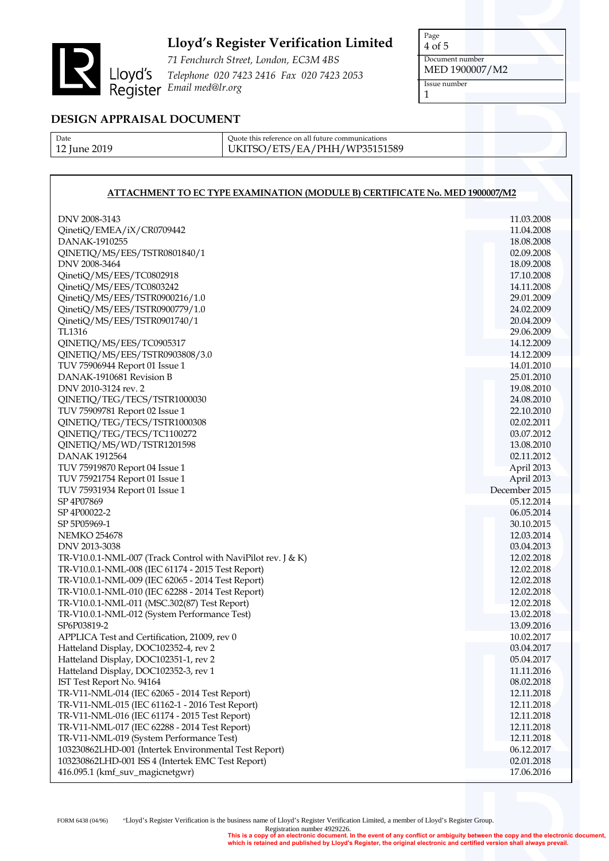

*71 Fenchurch Street, London, EC3M 4BS Telephone 020 7423 2416 Fax 020 7423 2053 Email med@lr.org*

Page 4 of 5 Document number MED 1900007/M2 Issue number 1

## **DESIGN APPRAISAL DOCUMENT**

Date 12 June 2019 Quote this reference on all future communications UKITSO/ETS/EA/PHH/WP35151589

## **ATTACHMENT TO EC TYPE EXAMINATION (MODULE B) CERTIFICATE No. MED 1900007/M2**

| DNV 2008-3143                                                                         | 11.03.2008               |
|---------------------------------------------------------------------------------------|--------------------------|
| QinetiQ/EMEA/iX/CR0709442                                                             | 11.04.2008               |
| DANAK-1910255                                                                         | 18.08.2008               |
| QINETIQ/MS/EES/TSTR0801840/1                                                          | 02.09.2008               |
| DNV 2008-3464                                                                         | 18.09.2008               |
| QinetiQ/MS/EES/TC0802918                                                              | 17.10.2008               |
| QinetiQ/MS/EES/TC0803242                                                              | 14.11.2008               |
| QinetiQ/MS/EES/TSTR0900216/1.0                                                        | 29.01.2009               |
| QinetiQ/MS/EES/TSTR0900779/1.0                                                        | 24.02.2009               |
| QinetiQ/MS/EES/TSTR0901740/1                                                          | 20.04.2009               |
| TL1316                                                                                | 29.06.2009               |
| QINETIQ/MS/EES/TC0905317                                                              | 14.12.2009               |
| QINETIQ/MS/EES/TSTR0903808/3.0                                                        | 14.12.2009               |
| TUV 75906944 Report 01 Issue 1                                                        | 14.01.2010               |
| DANAK-1910681 Revision B                                                              | 25.01.2010               |
| DNV 2010-3124 rev. 2                                                                  | 19.08.2010               |
| QINETIQ/TEG/TECS/TSTR1000030                                                          | 24.08.2010               |
| TUV 75909781 Report 02 Issue 1                                                        | 22.10.2010               |
| QINETIQ/TEG/TECS/TSTR1000308                                                          | 02.02.2011               |
| QINETIQ/TEG/TECS/TC1100272                                                            | 03.07.2012               |
| QINETIQ/MS/WD/TSTR1201598                                                             | 13.08.2010               |
| <b>DANAK 1912564</b>                                                                  | 02.11.2012               |
| TUV 75919870 Report 04 Issue 1                                                        | April 2013               |
| TUV 75921754 Report 01 Issue 1                                                        | April 2013               |
| TUV 75931934 Report 01 Issue 1                                                        | December 2015            |
| SP 4P07869                                                                            | 05.12.2014               |
| SP 4P00022-2                                                                          | 06.05.2014               |
| SP 5P05969-1                                                                          | 30.10.2015               |
| <b>NEMKO 254678</b>                                                                   | 12.03.2014               |
| DNV 2013-3038                                                                         | 03.04.2013               |
| TR-V10.0.1-NML-007 (Track Control with NaviPilot rev. J & K)                          | 12.02.2018               |
| TR-V10.0.1-NML-008 (IEC 61174 - 2015 Test Report)                                     | 12.02.2018               |
| TR-V10.0.1-NML-009 (IEC 62065 - 2014 Test Report)                                     | 12.02.2018               |
| TR-V10.0.1-NML-010 (IEC 62288 - 2014 Test Report)                                     | 12.02.2018               |
| TR-V10.0.1-NML-011 (MSC.302(87) Test Report)                                          | 12.02.2018               |
| TR-V10.0.1-NML-012 (System Performance Test)                                          | 13.02.2018               |
| SP6P03819-2                                                                           | 13.09.2016               |
| APPLICA Test and Certification, 21009, rev 0<br>Hatteland Display, DOC102352-4, rev 2 | 10.02.2017               |
| Hatteland Display, DOC102351-1, rev 2                                                 | 03.04.2017               |
|                                                                                       | 05.04.2017<br>11.11.2016 |
| Hatteland Display, DOC102352-3, rev 1<br>IST Test Report No. 94164                    | 08.02.2018               |
| TR-V11-NML-014 (IEC 62065 - 2014 Test Report)                                         | 12.11.2018               |
| TR-V11-NML-015 (IEC 61162-1 - 2016 Test Report)                                       | 12.11.2018               |
| TR-V11-NML-016 (IEC 61174 - 2015 Test Report)                                         | 12.11.2018               |
| TR-V11-NML-017 (IEC 62288 - 2014 Test Report)                                         | 12.11.2018               |
| TR-V11-NML-019 (System Performance Test)                                              | 12.11.2018               |
| 103230862LHD-001 (Intertek Environmental Test Report)                                 | 06.12.2017               |
| 103230862LHD-001 ISS 4 (Intertek EMC Test Report)                                     | 02.01.2018               |
| 416.095.1 (kmf_suv_magicnetgwr)                                                       | 17.06.2016               |
|                                                                                       |                          |